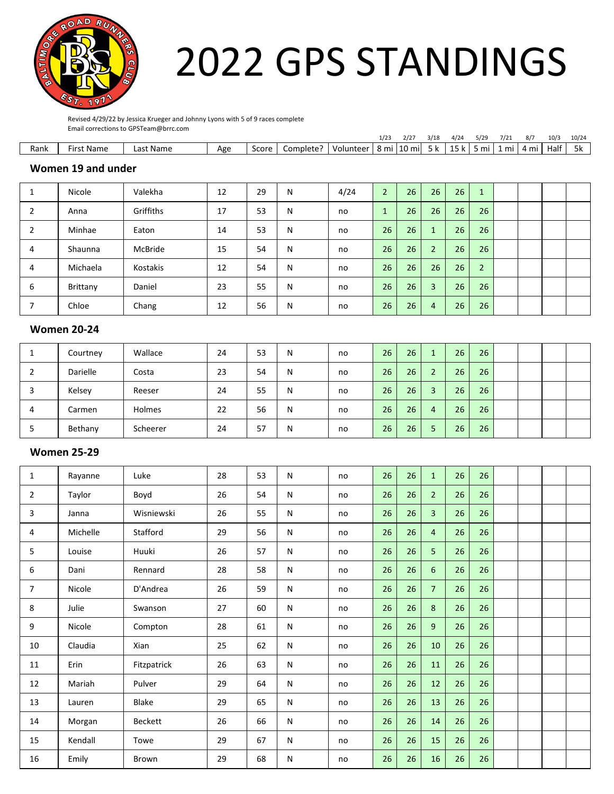

# 2022 GPS STANDINGS

Revised 4/29/22 by Jessica Krueger and Johnny Lyons with 5 of 9 races complete Email corrections to GPSTeam@brrc.com

|      |                 |                  |              |       |          |             | $\sqrt{2}$<br>1/2 | ירו ר<br>212           | 3/18             | $\sqrt{2}$<br>+/ 24       | 5/29    | 7/21 |      | 10/3 | 10/24 |
|------|-----------------|------------------|--------------|-------|----------|-------------|-------------------|------------------------|------------------|---------------------------|---------|------|------|------|-------|
| Rank | t Name<br>∙ırs. | . .<br>Last Name | Ασρ<br>היה י | Score | Complete | – Volunteer | mi ا              | .<br>. .<br>. .<br>mil | $\mathbf{z}$<br> | $\overline{ }$<br>n.<br>. | mi<br>- | mi   | 4 mi | Half | эк    |

## **Women 19 and under**

|   | Nicole   | Valekha   | 12 | 29 | N | 4/24 | $\overline{2}$  | 26              | 26             | 26 | $\sqrt{1}$     |  |  |
|---|----------|-----------|----|----|---|------|-----------------|-----------------|----------------|----|----------------|--|--|
| 2 | Anna     | Griffiths | 17 | 53 | N | no   |                 | 26              | 26             | 26 | 26             |  |  |
|   | Minhae   | Eaton     | 14 | 53 | N | no   | 26              | 26              | $\mathbf{1}$   | 26 | 26             |  |  |
| 4 | Shaunna  | McBride   | 15 | 54 | N | no   | 26              | 26              | $\overline{2}$ | 26 | 26             |  |  |
| 4 | Michaela | Kostakis  | 12 | 54 | N | no   | 26              | 26 <sup>°</sup> | 26             | 26 | $\overline{2}$ |  |  |
| 6 | Brittany | Daniel    | 23 | 55 | N | no   | 26              | 26              | $\overline{3}$ | 26 | 26             |  |  |
|   | Chloe    | Chang     | 12 | 56 | N | no   | 26 <sub>1</sub> | 26              | $\overline{4}$ | 26 | 26             |  |  |

#### **Women 20-24**

| <b>.</b> | Courtney | Wallace       | 24 | 53 | N | no | 26 | 26 <sup>°</sup> |                | 26 | 26 |  |  |
|----------|----------|---------------|----|----|---|----|----|-----------------|----------------|----|----|--|--|
| ∠        | Darielle | Costa         | 23 | 54 | N | no | 26 | 26              | $\overline{2}$ | 26 | 26 |  |  |
|          | Kelsey   | Reeser        | 24 | 55 | N | no | 26 | 26              | 3              | 26 | 26 |  |  |
| 4        | Carmen   | <b>Holmes</b> | 22 | 56 | N | no | 26 | 26 <sup>1</sup> | 4              | 26 | 26 |  |  |
|          | Bethany  | Scheerer      | 24 | 57 | N | no | 26 | 26              | 5              | 26 | 26 |  |  |

#### **Women 25-29**

| 1              | Rayanne  | Luke           | 28 | 53 | N            | no | 26 | 26 | $\mathbf{1}$   | 26 | 26 |  |  |
|----------------|----------|----------------|----|----|--------------|----|----|----|----------------|----|----|--|--|
| $\overline{2}$ | Taylor   | Boyd           | 26 | 54 | N            | no | 26 | 26 | 2 <sup>1</sup> | 26 | 26 |  |  |
| 3              | Janna    | Wisniewski     | 26 | 55 | N            | no | 26 | 26 | $\overline{3}$ | 26 | 26 |  |  |
| 4              | Michelle | Stafford       | 29 | 56 | N            | no | 26 | 26 | $\overline{4}$ | 26 | 26 |  |  |
| 5              | Louise   | Huuki          | 26 | 57 | N            | no | 26 | 26 | 5              | 26 | 26 |  |  |
| 6              | Dani     | Rennard        | 28 | 58 | N            | no | 26 | 26 | 6              | 26 | 26 |  |  |
| $\overline{7}$ | Nicole   | D'Andrea       | 26 | 59 | N            | no | 26 | 26 | $\overline{7}$ | 26 | 26 |  |  |
| 8              | Julie    | Swanson        | 27 | 60 | N            | no | 26 | 26 | 8              | 26 | 26 |  |  |
| 9              | Nicole   | Compton        | 28 | 61 | N            | no | 26 | 26 | 9              | 26 | 26 |  |  |
| 10             | Claudia  | Xian           | 25 | 62 | N            | no | 26 | 26 | 10             | 26 | 26 |  |  |
| 11             | Erin     | Fitzpatrick    | 26 | 63 | N            | no | 26 | 26 | 11             | 26 | 26 |  |  |
| 12             | Mariah   | Pulver         | 29 | 64 | N            | no | 26 | 26 | 12             | 26 | 26 |  |  |
| 13             | Lauren   | Blake          | 29 | 65 | $\mathsf{N}$ | no | 26 | 26 | 13             | 26 | 26 |  |  |
| 14             | Morgan   | <b>Beckett</b> | 26 | 66 | N            | no | 26 | 26 | 14             | 26 | 26 |  |  |
| 15             | Kendall  | Towe           | 29 | 67 | N            | no | 26 | 26 | 15             | 26 | 26 |  |  |
| 16             | Emily    | Brown          | 29 | 68 | N            | no | 26 | 26 | 16             | 26 | 26 |  |  |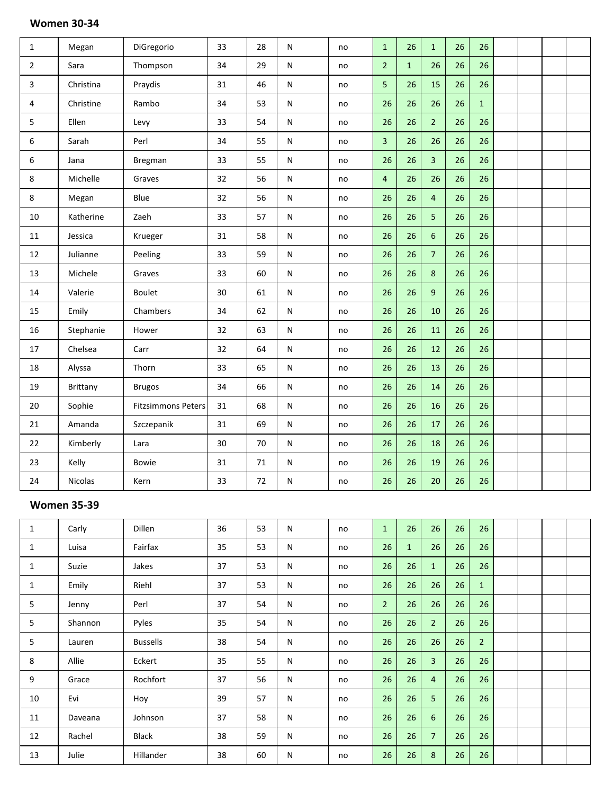| $\mathbf{1}$   | Megan     | DiGregorio                | 33 | 28 | ${\sf N}$ | no | $\mathbf{1}$   | 26           | $\mathbf{1}$   | 26 | 26           |  |  |
|----------------|-----------|---------------------------|----|----|-----------|----|----------------|--------------|----------------|----|--------------|--|--|
| $\overline{2}$ | Sara      | Thompson                  | 34 | 29 | ${\sf N}$ | no | $\overline{2}$ | $\mathbf{1}$ | 26             | 26 | 26           |  |  |
| 3              | Christina | Praydis                   | 31 | 46 | ${\sf N}$ | no | 5              | 26           | 15             | 26 | 26           |  |  |
| 4              | Christine | Rambo                     | 34 | 53 | ${\sf N}$ | no | 26             | 26           | 26             | 26 | $\mathbf{1}$ |  |  |
| 5              | Ellen     | Levy                      | 33 | 54 | ${\sf N}$ | no | 26             | 26           | $\overline{2}$ | 26 | 26           |  |  |
| 6              | Sarah     | Perl                      | 34 | 55 | ${\sf N}$ | no | $\overline{3}$ | 26           | 26             | 26 | 26           |  |  |
| 6              | Jana      | Bregman                   | 33 | 55 | ${\sf N}$ | no | 26             | 26           | $\overline{3}$ | 26 | 26           |  |  |
| 8              | Michelle  | Graves                    | 32 | 56 | ${\sf N}$ | no | $\overline{4}$ | 26           | 26             | 26 | 26           |  |  |
| 8              | Megan     | Blue                      | 32 | 56 | ${\sf N}$ | no | 26             | 26           | $\overline{4}$ | 26 | 26           |  |  |
| $10\,$         | Katherine | Zaeh                      | 33 | 57 | ${\sf N}$ | no | 26             | 26           | 5              | 26 | 26           |  |  |
| $11\,$         | Jessica   | Krueger                   | 31 | 58 | ${\sf N}$ | no | 26             | 26           | $6\phantom{a}$ | 26 | 26           |  |  |
| 12             | Julianne  | Peeling                   | 33 | 59 | ${\sf N}$ | no | 26             | 26           | $\overline{7}$ | 26 | 26           |  |  |
| 13             | Michele   | Graves                    | 33 | 60 | ${\sf N}$ | no | 26             | 26           | $\,8\,$        | 26 | 26           |  |  |
| $14\,$         | Valerie   | <b>Boulet</b>             | 30 | 61 | ${\sf N}$ | no | 26             | 26           | 9              | 26 | 26           |  |  |
| 15             | Emily     | Chambers                  | 34 | 62 | ${\sf N}$ | no | 26             | 26           | 10             | 26 | 26           |  |  |
| 16             | Stephanie | Hower                     | 32 | 63 | ${\sf N}$ | no | 26             | 26           | 11             | 26 | 26           |  |  |
| 17             | Chelsea   | Carr                      | 32 | 64 | ${\sf N}$ | no | 26             | 26           | 12             | 26 | 26           |  |  |
| 18             | Alyssa    | Thorn                     | 33 | 65 | ${\sf N}$ | no | 26             | 26           | 13             | 26 | 26           |  |  |
| 19             | Brittany  | <b>Brugos</b>             | 34 | 66 | ${\sf N}$ | no | 26             | 26           | 14             | 26 | 26           |  |  |
| 20             | Sophie    | <b>Fitzsimmons Peters</b> | 31 | 68 | ${\sf N}$ | no | 26             | 26           | 16             | 26 | 26           |  |  |
| 21             | Amanda    | Szczepanik                | 31 | 69 | ${\sf N}$ | no | 26             | 26           | 17             | 26 | 26           |  |  |
| 22             | Kimberly  | Lara                      | 30 | 70 | ${\sf N}$ | no | 26             | 26           | 18             | 26 | 26           |  |  |
| 23             | Kelly     | Bowie                     | 31 | 71 | ${\sf N}$ | no | 26             | 26           | 19             | 26 | 26           |  |  |
| 24             | Nicolas   | Kern                      | 33 | 72 | ${\sf N}$ | no | 26             | 26           | 20             | 26 | 26           |  |  |
|                |           |                           |    |    |           |    |                |              |                |    |              |  |  |

#### **Women 35-39**

| $\mathbf{1}$ | Carly   | Dillen          | 36 | 53 | ${\sf N}$ | no | $1\,$          | 26           | 26             | 26 | 26             |  |  |
|--------------|---------|-----------------|----|----|-----------|----|----------------|--------------|----------------|----|----------------|--|--|
| $\mathbf{1}$ | Luisa   | Fairfax         | 35 | 53 | ${\sf N}$ | no | 26             | $\mathbf{1}$ | 26             | 26 | 26             |  |  |
| $\mathbf{1}$ | Suzie   | Jakes           | 37 | 53 | N         | no | 26             | 26           | $\mathbf{1}$   | 26 | 26             |  |  |
| $\mathbf{1}$ | Emily   | Riehl           | 37 | 53 | N         | no | 26             | 26           | 26             | 26 | $\mathbf{1}$   |  |  |
| 5            | Jenny   | Perl            | 37 | 54 | N         | no | $\overline{2}$ | 26           | 26             | 26 | 26             |  |  |
| 5            | Shannon | Pyles           | 35 | 54 | N         | no | 26             | 26           | $\overline{2}$ | 26 | 26             |  |  |
| 5            | Lauren  | <b>Bussells</b> | 38 | 54 | N         | no | 26             | 26           | 26             | 26 | $\overline{2}$ |  |  |
| 8            | Allie   | Eckert          | 35 | 55 | N         | no | 26             | 26           | $\overline{3}$ | 26 | 26             |  |  |
| 9            | Grace   | Rochfort        | 37 | 56 | N         | no | 26             | 26           | $\overline{4}$ | 26 | 26             |  |  |
| 10           | Evi     | Hoy             | 39 | 57 | N         | no | 26             | 26           | 5              | 26 | 26             |  |  |
| 11           | Daveana | Johnson         | 37 | 58 | N         | no | 26             | 26           | 6              | 26 | 26             |  |  |
| 12           | Rachel  | Black           | 38 | 59 | N         | no | 26             | 26           | 7 <sup>7</sup> | 26 | 26             |  |  |
| 13           | Julie   | Hillander       | 38 | 60 | N         | no | 26             | 26           | 8              | 26 | 26             |  |  |

# **Women 30-34**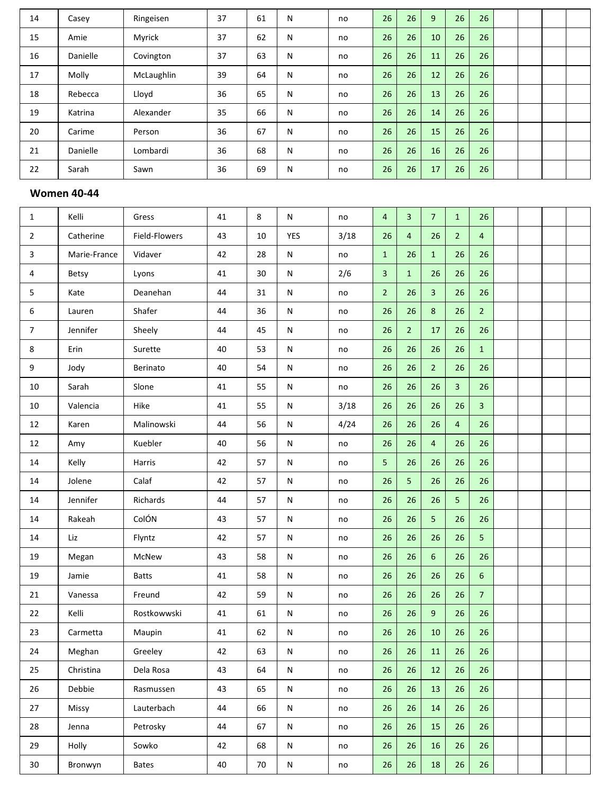| 14 | Casey    | Ringeisen  | 37 | 61 | N            | no | 26 | 26 | 9  | 26 | 26 |  |  |
|----|----------|------------|----|----|--------------|----|----|----|----|----|----|--|--|
| 15 | Amie     | Myrick     | 37 | 62 | N            | no | 26 | 26 | 10 | 26 | 26 |  |  |
| 16 | Danielle | Covington  | 37 | 63 | $\mathsf{N}$ | no | 26 | 26 | 11 | 26 | 26 |  |  |
| 17 | Molly    | McLaughlin | 39 | 64 | N            | no | 26 | 26 | 12 | 26 | 26 |  |  |
| 18 | Rebecca  | Lloyd      | 36 | 65 | N            | no | 26 | 26 | 13 | 26 | 26 |  |  |
| 19 | Katrina  | Alexander  | 35 | 66 | N            | no | 26 | 26 | 14 | 26 | 26 |  |  |
| 20 | Carime   | Person     | 36 | 67 | N            | no | 26 | 26 | 15 | 26 | 26 |  |  |
| 21 | Danielle | Lombardi   | 36 | 68 | N            | no | 26 | 26 | 16 | 26 | 26 |  |  |
| 22 | Sarah    | Sawn       | 36 | 69 | N            | no | 26 | 26 | 17 | 26 | 26 |  |  |

# **Women 40-44**

| $\mathbf{1}$   | Kelli        | Gress         | 41 | 8      | ${\sf N}$  | no            | $\overline{4}$ | $\overline{\mathbf{3}}$ | $\overline{7}$ | $\mathbf{1}$   | 26             |  |  |
|----------------|--------------|---------------|----|--------|------------|---------------|----------------|-------------------------|----------------|----------------|----------------|--|--|
| $\overline{2}$ | Catherine    | Field-Flowers | 43 | $10\,$ | <b>YES</b> | 3/18          | 26             | $\overline{4}$          | 26             | $\overline{2}$ | $\overline{4}$ |  |  |
| 3              | Marie-France | Vidaver       | 42 | 28     | ${\sf N}$  | no            | $\mathbf{1}$   | 26                      | $\mathbf{1}$   | 26             | 26             |  |  |
| 4              | Betsy        | Lyons         | 41 | $30\,$ | ${\sf N}$  | 2/6           | 3              | $\mathbf{1}$            | 26             | 26             | 26             |  |  |
| 5              | Kate         | Deanehan      | 44 | 31     | N          | no            | 2 <sup>1</sup> | 26                      | $\overline{3}$ | 26             | 26             |  |  |
| 6              | Lauren       | Shafer        | 44 | 36     | N          | no            | 26             | 26                      | $\bf 8$        | 26             | $\overline{2}$ |  |  |
| $\overline{7}$ | Jennifer     | Sheely        | 44 | 45     | N          | no            | 26             | 2 <sup>1</sup>          | 17             | 26             | 26             |  |  |
| 8              | Erin         | Surette       | 40 | 53     | ${\sf N}$  | no            | 26             | 26                      | 26             | 26             | $\mathbf{1}$   |  |  |
| 9              | Jody         | Berinato      | 40 | 54     | ${\sf N}$  | no            | 26             | 26                      | $\overline{2}$ | 26             | 26             |  |  |
| 10             | Sarah        | Slone         | 41 | 55     | ${\sf N}$  | no            | 26             | 26                      | 26             | $\overline{3}$ | 26             |  |  |
| 10             | Valencia     | Hike          | 41 | 55     | ${\sf N}$  | 3/18          | 26             | 26                      | 26             | 26             | $\overline{3}$ |  |  |
| 12             | Karen        | Malinowski    | 44 | 56     | N          | 4/24          | 26             | 26                      | 26             | $\overline{4}$ | 26             |  |  |
| $12\,$         | Amy          | Kuebler       | 40 | 56     | ${\sf N}$  | no            | 26             | 26                      | 4              | 26             | 26             |  |  |
| 14             | Kelly        | Harris        | 42 | 57     | N          | no            | 5              | 26                      | 26             | 26             | 26             |  |  |
| $14\,$         | Jolene       | Calaf         | 42 | 57     | ${\sf N}$  | no            | 26             | 5                       | 26             | 26             | 26             |  |  |
| 14             | Jennifer     | Richards      | 44 | 57     | N          | $\mathsf{no}$ | 26             | 26                      | 26             | 5              | 26             |  |  |
| 14             | Rakeah       | ColÓN         | 43 | 57     | N          | no            | 26             | 26                      | 5              | 26             | 26             |  |  |
| $14\,$         | Liz          | Flyntz        | 42 | 57     | ${\sf N}$  | no            | 26             | 26                      | 26             | 26             | 5              |  |  |
| 19             | Megan        | McNew         | 43 | 58     | N          | no            | 26             | 26                      | $6\phantom{a}$ | 26             | 26             |  |  |
| 19             | Jamie        | <b>Batts</b>  | 41 | 58     | ${\sf N}$  | no            | 26             | 26                      | 26             | 26             | $6\,$          |  |  |
| 21             | Vanessa      | Freund        | 42 | 59     | ${\sf N}$  | no            | 26             | 26                      | 26             | 26             | $\overline{7}$ |  |  |
| 22             | Kelli        | Rostkowwski   | 41 | 61     | ${\sf N}$  | no            | 26             | 26                      | $9\,$          | 26             | 26             |  |  |
| 23             | Carmetta     | Maupin        | 41 | 62     | N          | $\mathsf{no}$ | 26             | 26                      | 10             | 26             | 26             |  |  |
| 24             | Meghan       | Greeley       | 42 | 63     | N          | no            | 26             | 26                      | ${\bf 11}$     | 26             | 26             |  |  |
| 25             | Christina    | Dela Rosa     | 43 | 64     | ${\sf N}$  | no            | 26             | 26                      | 12             | 26             | 26             |  |  |
| 26             | Debbie       | Rasmussen     | 43 | 65     | N          | no            | 26             | 26                      | 13             | 26             | 26             |  |  |
| 27             | Missy        | Lauterbach    | 44 | 66     | N          | no            | 26             | 26                      | 14             | 26             | 26             |  |  |
| 28             | Jenna        | Petrosky      | 44 | 67     | N          | no            | 26             | $26\,$                  | 15             | 26             | 26             |  |  |
| 29             | Holly        | Sowko         | 42 | 68     | ${\sf N}$  | no            | 26             | 26                      | 16             | 26             | 26             |  |  |
| 30             | Bronwyn      | <b>Bates</b>  | 40 | 70     | ${\sf N}$  | $\mathsf{no}$ | 26             | 26                      | 18             | 26             | 26             |  |  |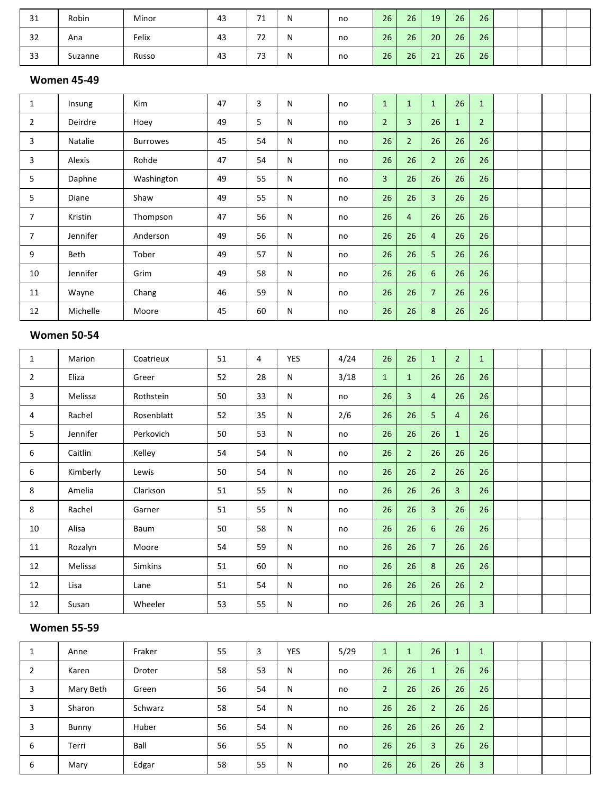| 31 | Robin   | Minor | 43 | - 4<br>- 4                     | N | no | 26 | 26 | 19 | 26 | 26 |  |  |
|----|---------|-------|----|--------------------------------|---|----|----|----|----|----|----|--|--|
| 32 | Ana     | Felix | 43 | – ~<br>$\epsilon$              | N | no | 26 | 26 | 20 | 26 | 26 |  |  |
| 33 | Suzanne | Russo | 43 | $\overline{\phantom{a}}$<br>73 | N | no | 26 | 26 | 21 | 26 | 26 |  |  |

# **Women 45-49**

| $\mathbf{1}$   | Insung   | Kim             | 47 | 3  | ${\sf N}$ | no | $\mathbf{1}$   | $\mathbf{1}$   | $\mathbf{1}$   | 26           | $\mathbf{1}$   |  |  |
|----------------|----------|-----------------|----|----|-----------|----|----------------|----------------|----------------|--------------|----------------|--|--|
| $\overline{2}$ | Deirdre  | Hoey            | 49 | 5  | ${\sf N}$ | no | $\overline{2}$ | 3              | 26             | $\mathbf{1}$ | $\overline{2}$ |  |  |
| 3              | Natalie  | <b>Burrowes</b> | 45 | 54 | ${\sf N}$ | no | 26             | $\overline{2}$ | 26             | 26           | 26             |  |  |
| 3              | Alexis   | Rohde           | 47 | 54 | ${\sf N}$ | no | 26             | 26             | $\overline{2}$ | 26           | 26             |  |  |
| 5              | Daphne   | Washington      | 49 | 55 | ${\sf N}$ | no | $\overline{3}$ | 26             | 26             | 26           | 26             |  |  |
| 5              | Diane    | Shaw            | 49 | 55 | N         | no | 26             | 26             | $\overline{3}$ | 26           | 26             |  |  |
| $\overline{7}$ | Kristin  | Thompson        | 47 | 56 | ${\sf N}$ | no | 26             | 4              | 26             | 26           | 26             |  |  |
| $\overline{7}$ | Jennifer | Anderson        | 49 | 56 | N         | no | 26             | 26             | $\overline{4}$ | 26           | 26             |  |  |
| 9              | Beth     | Tober           | 49 | 57 | N         | no | 26             | 26             | 5              | 26           | 26             |  |  |
| 10             | Jennifer | Grim            | 49 | 58 | ${\sf N}$ | no | 26             | 26             | 6              | 26           | 26             |  |  |
| 11             | Wayne    | Chang           | 46 | 59 | ${\sf N}$ | no | 26             | 26             | $\overline{7}$ | 26           | 26             |  |  |
| 12             | Michelle | Moore           | 45 | 60 | ${\sf N}$ | no | 26             | 26             | 8              | 26           | 26             |  |  |

## **Women 50-54**

| $\mathbf{1}$   | Marion   | Coatrieux      | 51 | 4  | YES | 4/24 | 26           | 26           | $\mathbf{1}$   | $\overline{2}$ | $\mathbf{1}$   |  |  |
|----------------|----------|----------------|----|----|-----|------|--------------|--------------|----------------|----------------|----------------|--|--|
| $\overline{2}$ | Eliza    | Greer          | 52 | 28 | N   | 3/18 | $\mathbf{1}$ | $\mathbf{1}$ | 26             | 26             | 26             |  |  |
| 3              | Melissa  | Rothstein      | 50 | 33 | N   | no   | 26           | 3            | $\overline{4}$ | 26             | 26             |  |  |
| 4              | Rachel   | Rosenblatt     | 52 | 35 | N   | 2/6  | 26           | 26           | 5              | $\overline{4}$ | 26             |  |  |
| 5              | Jennifer | Perkovich      | 50 | 53 | N   | no   | 26           | 26           | 26             | $\mathbf{1}$   | 26             |  |  |
| 6              | Caitlin  | Kelley         | 54 | 54 | N   | no   | 26           | $2^{\circ}$  | 26             | 26             | 26             |  |  |
| 6              | Kimberly | Lewis          | 50 | 54 | N   | no   | 26           | 26           | 2 <sup>2</sup> | 26             | 26             |  |  |
| 8              | Amelia   | Clarkson       | 51 | 55 | N   | no   | 26           | 26           | 26             | $\overline{3}$ | 26             |  |  |
| 8              | Rachel   | Garner         | 51 | 55 | N   | no   | 26           | 26           | 3              | 26             | 26             |  |  |
| 10             | Alisa    | Baum           | 50 | 58 | N   | no   | 26           | 26           | 6              | 26             | 26             |  |  |
| 11             | Rozalyn  | Moore          | 54 | 59 | N   | no   | 26           | 26           | $\overline{7}$ | 26             | 26             |  |  |
| 12             | Melissa  | <b>Simkins</b> | 51 | 60 | N   | no   | 26           | 26           | 8              | 26             | 26             |  |  |
| 12             | Lisa     | Lane           | 51 | 54 | N   | no   | 26           | 26           | 26             | 26             | $\overline{2}$ |  |  |
| 12             | Susan    | Wheeler        | 53 | 55 | N   | no   | 26           | 26           | 26             | 26             | 3              |  |  |

#### **Women 55-59**

|   | Anne      | Fraker  | 55 | 3  | <b>YES</b> | 5/29 |                 |                 | 26             | $\mathbf{1}$    | 1              |  |  |
|---|-----------|---------|----|----|------------|------|-----------------|-----------------|----------------|-----------------|----------------|--|--|
|   | Karen     | Droter  | 58 | 53 | N          | no   | 26              | 26              | $\mathbf{1}$   | 26 <sup>2</sup> | 26             |  |  |
| 3 | Mary Beth | Green   | 56 | 54 | N          | no   | $\overline{2}$  | 26              | 26             | 26              | 26             |  |  |
| 3 | Sharon    | Schwarz | 58 | 54 | N          | no   | 26              | 26 <sup>°</sup> | $\overline{2}$ | 26              | 26             |  |  |
| 3 | Bunny     | Huber   | 56 | 54 | N          | no   | 26 <sub>1</sub> | 26 <sup>°</sup> | 26             | 26              | $\overline{2}$ |  |  |
| 6 | Terri     | Ball    | 56 | 55 | N          | no   | 26              | 26              | $\overline{3}$ | 26              | 26             |  |  |
| 6 | Mary      | Edgar   | 58 | 55 | N          | no   | 26              | 26              | 26             | 26              | $\overline{3}$ |  |  |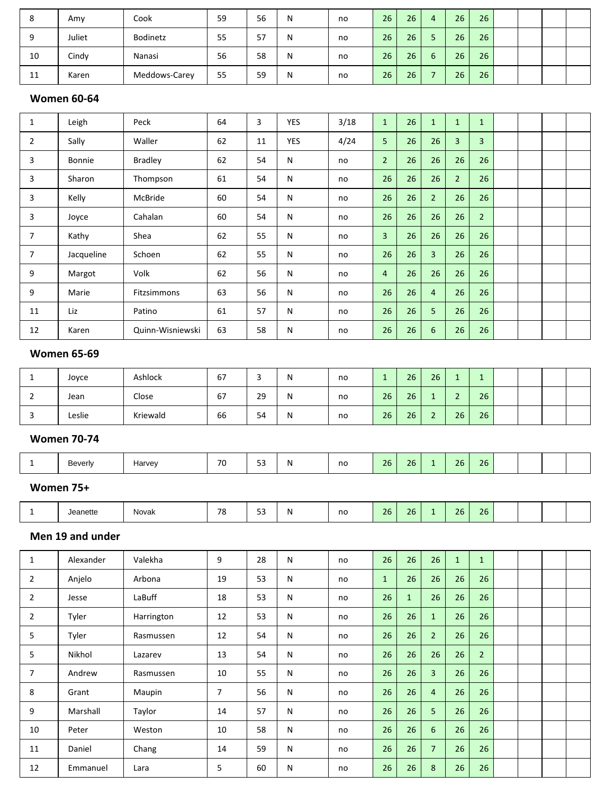| Ō  | Amy    | Cook          | 59 | 56 | N | no | 26 <sub>1</sub> | 26 <sup>1</sup> | 4                             | 26 | 26 |  |  |
|----|--------|---------------|----|----|---|----|-----------------|-----------------|-------------------------------|----|----|--|--|
|    | Juliet | Bodinetz      | 55 | 57 | N | no | 26              | 26              |                               | 26 | 26 |  |  |
| 10 | Cindy  | Nanasi        | 56 | 58 | N | no | 26              | 26 <sup>1</sup> | $\overline{\phantom{0}}$<br>b | 26 | 26 |  |  |
| 11 | Karen  | Meddows-Carey | 55 | 59 | N | no | 26              | 26 <sup>°</sup> |                               | 26 | 26 |  |  |

#### **Women 60-64**

| $\mathbf{1}$   | Leigh      | Peck             | 64 | 3  | <b>YES</b> | 3/18 | $\mathbf{1}$   | 26 | $\mathbf{1}$     | $\mathbf{1}$   | $\mathbf{1}$   |  |  |
|----------------|------------|------------------|----|----|------------|------|----------------|----|------------------|----------------|----------------|--|--|
| $\overline{2}$ | Sally      | Waller           | 62 | 11 | <b>YES</b> | 4/24 | 5              | 26 | 26               | $\overline{3}$ | $\overline{3}$ |  |  |
| 3              | Bonnie     | <b>Bradley</b>   | 62 | 54 | N          | no   | $\overline{2}$ | 26 | 26               | 26             | 26             |  |  |
| 3              | Sharon     | Thompson         | 61 | 54 | N          | no   | 26             | 26 | 26               | $\overline{2}$ | 26             |  |  |
| 3              | Kelly      | McBride          | 60 | 54 | N          | no   | 26             | 26 | $\overline{2}$   | 26             | 26             |  |  |
| 3              | Joyce      | Cahalan          | 60 | 54 | N          | no   | 26             | 26 | 26               | 26             | $\overline{2}$ |  |  |
| $\overline{7}$ | Kathy      | Shea             | 62 | 55 | N          | no   | $\overline{3}$ | 26 | 26               | 26             | 26             |  |  |
| $\overline{7}$ | Jacqueline | Schoen           | 62 | 55 | N          | no   | 26             | 26 | $\overline{3}$   | 26             | 26             |  |  |
| 9              | Margot     | Volk             | 62 | 56 | N          | no   | $\overline{4}$ | 26 | 26               | 26             | 26             |  |  |
| 9              | Marie      | Fitzsimmons      | 63 | 56 | N          | no   | 26             | 26 | $\overline{4}$   | 26             | 26             |  |  |
| 11             | Liz        | Patino           | 61 | 57 | N          | no   | 26             | 26 | 5                | 26             | 26             |  |  |
| 12             | Karen      | Quinn-Wisniewski | 63 | 58 | Ν          | no   | 26             | 26 | $\boldsymbol{6}$ | 26             | 26             |  |  |

# **Women 65-69**

| Joyce  | Ashlock  | 67 |                 | יי | no | -- | 26 | 26 | -  |    |  |  |
|--------|----------|----|-----------------|----|----|----|----|----|----|----|--|--|
| Jean   | Close    | 67 | 20<br>ت         |    | no | 26 | 26 |    |    | 26 |  |  |
| Leslie | Kriewald | 66 | - -<br>571<br>ັ | יי | no | 26 | 26 |    | 26 | 26 |  |  |

## **Women 70-74**

|  | `'≏verlv<br>$\sim$ $\sim$ | ⊣arve∖ | 70 | $ -$<br>. | 'N | no<br>$\sim$ | 26 | 26 |  | 26 | $\sim$ $\sim$<br>20 |  |  |  |  |  |
|--|---------------------------|--------|----|-----------|----|--------------|----|----|--|----|---------------------|--|--|--|--|--|
|--|---------------------------|--------|----|-----------|----|--------------|----|----|--|----|---------------------|--|--|--|--|--|

#### **Women 75+**

|  | leanette | - -<br>Novak | 70<br>ο | --<br>-- | N | no<br>$\sim$ | 26 | 26 |  | - - | $\cap C$<br>-40 |  |  |  |  |
|--|----------|--------------|---------|----------|---|--------------|----|----|--|-----|-----------------|--|--|--|--|
|--|----------|--------------|---------|----------|---|--------------|----|----|--|-----|-----------------|--|--|--|--|

# **Men 19 and under**

| $\mathbf{1}$   | Alexander | Valekha    | 9  | 28 | N | no | 26           | 26           | 26             | $\mathbf{1}$ | $\mathbf{1}$   |  |  |
|----------------|-----------|------------|----|----|---|----|--------------|--------------|----------------|--------------|----------------|--|--|
| $\overline{2}$ | Anjelo    | Arbona     | 19 | 53 | N | no | $\mathbf{1}$ | 26           | 26             | 26           | 26             |  |  |
| 2              | Jesse     | LaBuff     | 18 | 53 | N | no | 26           | $\mathbf{1}$ | 26             | 26           | 26             |  |  |
| $\overline{2}$ | Tyler     | Harrington | 12 | 53 | N | no | 26           | 26           | $\mathbf{1}$   | 26           | 26             |  |  |
| 5              | Tyler     | Rasmussen  | 12 | 54 | N | no | 26           | 26           | $\overline{2}$ | 26           | 26             |  |  |
| 5              | Nikhol    | Lazarev    | 13 | 54 | N | no | 26           | 26           | 26             | 26           | $\overline{2}$ |  |  |
| 7              | Andrew    | Rasmussen  | 10 | 55 | N | no | 26           | 26           | $\overline{3}$ | 26           | 26             |  |  |
| 8              | Grant     | Maupin     | 7  | 56 | N | no | 26           | 26           | $\overline{4}$ | 26           | 26             |  |  |
| 9              | Marshall  | Taylor     | 14 | 57 | N | no | 26           | 26           | 5              | 26           | 26             |  |  |
| 10             | Peter     | Weston     | 10 | 58 | N | no | 26           | 26           | $\sqrt{6}$     | 26           | 26             |  |  |
| 11             | Daniel    | Chang      | 14 | 59 | N | no | 26           | 26           | $\overline{7}$ | 26           | 26             |  |  |
| 12             | Emmanuel  | Lara       | 5  | 60 | N | no | 26           | 26           | 8              | 26           | 26             |  |  |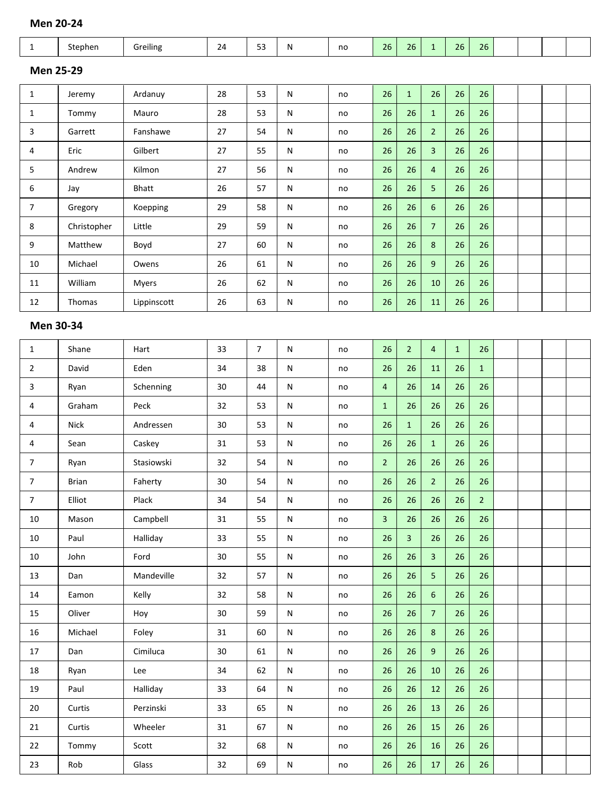# **Men 20-24**

| $\mathbf{1}$   | Stephen          | Greiling     | 24 | 53 | N | no | 26 | 26           | $\mathbf{1}$    | 26 | 26 |  |  |
|----------------|------------------|--------------|----|----|---|----|----|--------------|-----------------|----|----|--|--|
|                | <b>Men 25-29</b> |              |    |    |   |    |    |              |                 |    |    |  |  |
| $\mathbf{1}$   | Jeremy           | Ardanuy      | 28 | 53 | N | no | 26 | $\mathbf{1}$ | 26              | 26 | 26 |  |  |
| $\mathbf{1}$   | Tommy            | Mauro        | 28 | 53 | N | no | 26 | 26           | $\mathbf{1}$    | 26 | 26 |  |  |
| 3              | Garrett          | Fanshawe     | 27 | 54 | N | no | 26 | 26           | $\overline{2}$  | 26 | 26 |  |  |
| 4              | Eric             | Gilbert      | 27 | 55 | N | no | 26 | 26           | 3               | 26 | 26 |  |  |
| 5              | Andrew           | Kilmon       | 27 | 56 | N | no | 26 | 26           | $\overline{4}$  | 26 | 26 |  |  |
| 6              | Jay              | <b>Bhatt</b> | 26 | 57 | N | no | 26 | 26           | 5               | 26 | 26 |  |  |
| $\overline{7}$ | Gregory          | Koepping     | 29 | 58 | N | no | 26 | 26           | 6               | 26 | 26 |  |  |
| 8              | Christopher      | Little       | 29 | 59 | N | no | 26 | 26           | $7\overline{ }$ | 26 | 26 |  |  |
| 9              | Matthew          | Boyd         | 27 | 60 | N | no | 26 | 26           | 8               | 26 | 26 |  |  |
| 10             | Michael          | Owens        | 26 | 61 | N | no | 26 | 26           | 9               | 26 | 26 |  |  |
| 11             | William          | <b>Myers</b> | 26 | 62 | N | no | 26 | 26           | 10              | 26 | 26 |  |  |
| 12             | Thomas           | Lippinscott  | 26 | 63 | Ν | no | 26 | 26           | 11              | 26 | 26 |  |  |

| $\mathbf{1}$   | Shane        | Hart       | 33              | $\overline{7}$ | $\mathsf{N}$ | no | 26             | 2 <sup>1</sup> | $\overline{4}$   | $\mathbf{1}$ | 26             |  |  |
|----------------|--------------|------------|-----------------|----------------|--------------|----|----------------|----------------|------------------|--------------|----------------|--|--|
| $\overline{2}$ | David        | Eden       | 34              | 38             | ${\sf N}$    | no | 26             | 26             | 11               | 26           | $\mathbf{1}$   |  |  |
| 3              | Ryan         | Schenning  | 30              | 44             | ${\sf N}$    | no | $\overline{4}$ | 26             | 14               | 26           | 26             |  |  |
| 4              | Graham       | Peck       | 32              | 53             | $\mathsf{N}$ | no | $\mathbf{1}$   | 26             | 26               | 26           | 26             |  |  |
| 4              | <b>Nick</b>  | Andressen  | 30              | 53             | N            | no | 26             | $\mathbf{1}$   | 26               | 26           | 26             |  |  |
| 4              | Sean         | Caskey     | 31              | 53             | N            | no | 26             | 26             | $\mathbf{1}$     | 26           | 26             |  |  |
| $\overline{7}$ | Ryan         | Stasiowski | 32              | 54             | ${\sf N}$    | no | 2 <sup>1</sup> | 26             | 26               | 26           | 26             |  |  |
| $\overline{7}$ | <b>Brian</b> | Faherty    | 30 <sup>°</sup> | 54             | N            | no | 26             | 26             | $\overline{2}$   | 26           | 26             |  |  |
| $\overline{7}$ | Elliot       | Plack      | 34              | 54             | $\mathsf{N}$ | no | 26             | 26             | 26               | 26           | 2 <sup>1</sup> |  |  |
| $10\,$         | Mason        | Campbell   | 31              | 55             | N            | no | $\overline{3}$ | 26             | 26               | 26           | 26             |  |  |
| $10\,$         | Paul         | Halliday   | 33              | 55             | ${\sf N}$    | no | 26             | $\overline{3}$ | 26               | 26           | 26             |  |  |
| 10             | John         | Ford       | 30 <sup>°</sup> | 55             | $\mathsf{N}$ | no | 26             | 26             | 3                | 26           | 26             |  |  |
| 13             | Dan          | Mandeville | 32              | 57             | N            | no | 26             | 26             | 5                | 26           | 26             |  |  |
| 14             | Eamon        | Kelly      | 32              | 58             | ${\sf N}$    | no | 26             | 26             | $6\phantom{a}$   | 26           | 26             |  |  |
| 15             | Oliver       | Hoy        | 30 <sup>°</sup> | 59             | N            | no | 26             | 26             | $\overline{7}$   | 26           | 26             |  |  |
| 16             | Michael      | Foley      | 31              | 60             | N            | no | 26             | 26             | $\boldsymbol{8}$ | 26           | 26             |  |  |
| 17             | Dan          | Cimiluca   | 30              | 61             | ${\sf N}$    | no | 26             | 26             | 9                | 26           | 26             |  |  |
| 18             | Ryan         | Lee        | 34              | 62             | ${\sf N}$    | no | 26             | 26             | 10               | 26           | 26             |  |  |
| 19             | Paul         | Halliday   | 33              | 64             | N            | no | 26             | 26             | 12               | 26           | 26             |  |  |
| 20             | Curtis       | Perzinski  | 33              | 65             | ${\sf N}$    | no | 26             | 26             | 13               | 26           | 26             |  |  |
| 21             | Curtis       | Wheeler    | 31              | 67             | N            | no | 26             | 26             | 15               | 26           | 26             |  |  |
| 22             | Tommy        | Scott      | 32              | 68             | $\mathsf{N}$ | no | 26             | 26             | 16               | 26           | 26             |  |  |
| 23             | Rob          | Glass      | 32              | 69             | N            | no | 26             | 26             | 17               | 26           | 26             |  |  |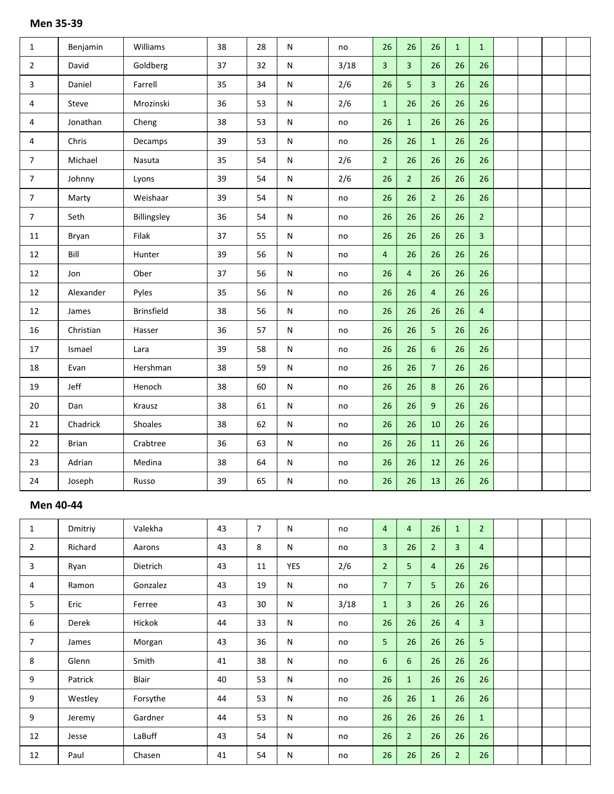| $\mathbf{1}$   | Benjamin     | Williams          | 38 | 28 | N           | no   | 26             | 26             | 26             | $\mathbf{1}$ | $\mathbf{1}$   |  |  |
|----------------|--------------|-------------------|----|----|-------------|------|----------------|----------------|----------------|--------------|----------------|--|--|
| $\overline{2}$ | David        | Goldberg          | 37 | 32 | ${\sf N}$   | 3/18 | $\overline{3}$ | $\overline{3}$ | 26             | 26           | 26             |  |  |
| 3              | Daniel       | Farrell           | 35 | 34 | N           | 2/6  | 26             | 5              | $\overline{3}$ | 26           | 26             |  |  |
| $\overline{4}$ | Steve        | Mrozinski         | 36 | 53 | ${\sf N}$   | 2/6  | $\mathbf{1}$   | 26             | 26             | 26           | 26             |  |  |
| 4              | Jonathan     | Cheng             | 38 | 53 | N           | no   | 26             | $\mathbf{1}$   | 26             | 26           | 26             |  |  |
| $\overline{4}$ | Chris        | Decamps           | 39 | 53 | ${\sf N}$   | no   | 26             | 26             | $\mathbf 1$    | 26           | 26             |  |  |
| $\overline{7}$ | Michael      | Nasuta            | 35 | 54 | N           | 2/6  | 2 <sup>1</sup> | 26             | 26             | 26           | 26             |  |  |
| $\overline{7}$ | Johnny       | Lyons             | 39 | 54 | ${\sf N}$   | 2/6  | 26             | 2 <sup>1</sup> | 26             | 26           | 26             |  |  |
| $\overline{7}$ | Marty        | Weishaar          | 39 | 54 | ${\sf N}$   | no   | 26             | 26             | $\overline{2}$ | 26           | 26             |  |  |
| $\overline{7}$ | Seth         | Billingsley       | 36 | 54 | N           | no   | 26             | 26             | 26             | 26           | $\overline{2}$ |  |  |
| $11\,$         | Bryan        | Filak             | 37 | 55 | N           | no   | 26             | 26             | 26             | 26           | 3              |  |  |
| 12             | Bill         | Hunter            | 39 | 56 | N           | no   | $\overline{4}$ | 26             | 26             | 26           | 26             |  |  |
| 12             | Jon          | Ober              | 37 | 56 | ${\sf N}$   | no   | 26             | $\overline{4}$ | 26             | 26           | 26             |  |  |
| 12             | Alexander    | Pyles             | 35 | 56 | N           | no   | 26             | 26             | $\overline{4}$ | 26           | 26             |  |  |
| $12\,$         | James        | <b>Brinsfield</b> | 38 | 56 | N           | no   | 26             | 26             | 26             | 26           | $\overline{4}$ |  |  |
| 16             | Christian    | Hasser            | 36 | 57 | N           | no   | 26             | 26             | 5              | 26           | 26             |  |  |
| $17\,$         | Ismael       | Lara              | 39 | 58 | ${\sf N}$   | no   | 26             | 26             | $\sqrt{6}$     | 26           | 26             |  |  |
| 18             | Evan         | Hershman          | 38 | 59 | ${\sf N}$   | no   | 26             | 26             | $\overline{7}$ | 26           | 26             |  |  |
| 19             | Jeff         | Henoch            | 38 | 60 | $\mathsf N$ | no   | 26             | 26             | 8              | 26           | 26             |  |  |
| $20\,$         | Dan          | Krausz            | 38 | 61 | N           | no   | 26             | 26             | 9              | 26           | 26             |  |  |
| 21             | Chadrick     | Shoales           | 38 | 62 | ${\sf N}$   | no   | 26             | 26             | 10             | 26           | 26             |  |  |
| 22             | <b>Brian</b> | Crabtree          | 36 | 63 | N           | no   | 26             | 26             | 11             | 26           | 26             |  |  |
| 23             | Adrian       | Medina            | 38 | 64 | N           | no   | 26             | 26             | 12             | 26           | 26             |  |  |
| 24             | Joseph       | Russo             | 39 | 65 | N           | no   | 26             | 26             | 13             | 26           | 26             |  |  |

# **Men 40-44**

| $\mathbf{1}$   | Dmitriy | Valekha  | 43 | $\overline{7}$ | N            | no   | $\overline{4}$ | 4              | 26             | $\mathbf{1}$   | $\overline{2}$ |  |  |
|----------------|---------|----------|----|----------------|--------------|------|----------------|----------------|----------------|----------------|----------------|--|--|
| $\overline{2}$ | Richard | Aarons   | 43 | 8              | $\mathsf{N}$ | no   | $\overline{3}$ | 26             | 2 <sup>1</sup> | 3              | $\overline{4}$ |  |  |
| 3              | Ryan    | Dietrich | 43 | 11             | <b>YES</b>   | 2/6  | $\overline{2}$ | 5              | $\overline{4}$ | 26             | 26             |  |  |
| 4              | Ramon   | Gonzalez | 43 | 19             | N            | no   | $\overline{7}$ | $\overline{7}$ | 5 <sup>1</sup> | 26             | 26             |  |  |
| 5              | Eric    | Ferree   | 43 | 30             | $\mathsf{N}$ | 3/18 | $\mathbf{1}$   | 3              | 26             | 26             | 26             |  |  |
| 6              | Derek   | Hickok   | 44 | 33             | N            | no   | 26             | 26             | 26             | $\overline{4}$ | $\overline{3}$ |  |  |
| $\overline{7}$ | James   | Morgan   | 43 | 36             | $\mathsf{N}$ | no   | 5 <sub>1</sub> | 26             | 26             | 26             | 5              |  |  |
| 8              | Glenn   | Smith    | 41 | 38             | N            | no   | 6              | 6              | 26             | 26             | 26             |  |  |
| 9              | Patrick | Blair    | 40 | 53             | N            | no   | 26             | $\mathbf{1}$   | 26             | 26             | 26             |  |  |
| 9              | Westley | Forsythe | 44 | 53             | $\mathsf{N}$ | no   | 26             | 26             | $\mathbf{1}$   | 26             | 26             |  |  |
| 9              | Jeremy  | Gardner  | 44 | 53             | N            | no   | 26             | 26             | 26             | 26             | $\mathbf{1}$   |  |  |
| 12             | Jesse   | LaBuff   | 43 | 54             | N            | no   | 26             | 2 <sup>2</sup> | 26             | 26             | 26             |  |  |
| 12             | Paul    | Chasen   | 41 | 54             | ${\sf N}$    | no   | 26             | 26             | 26             | $\overline{2}$ | 26             |  |  |

# **Men 35-39**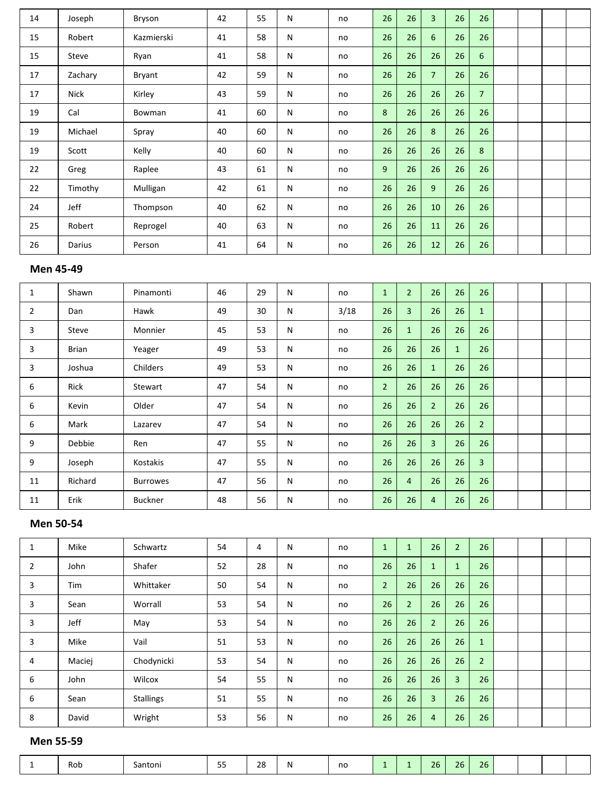| 14 | Joseph      | Bryson     | 42 | 55 | N | no | 26 | 26 | $\overline{3}$  | 26 | 26             |  |  |
|----|-------------|------------|----|----|---|----|----|----|-----------------|----|----------------|--|--|
| 15 | Robert      | Kazmierski | 41 | 58 | N | no | 26 | 26 | $6\overline{6}$ | 26 | 26             |  |  |
| 15 | Steve       | Ryan       | 41 | 58 | N | no | 26 | 26 | 26              | 26 | 6              |  |  |
| 17 | Zachary     | Bryant     | 42 | 59 | N | no | 26 | 26 | $\overline{7}$  | 26 | 26             |  |  |
| 17 | <b>Nick</b> | Kirley     | 43 | 59 | N | no | 26 | 26 | 26              | 26 | $\overline{7}$ |  |  |
| 19 | Cal         | Bowman     | 41 | 60 | N | no | 8  | 26 | 26              | 26 | 26             |  |  |
| 19 | Michael     | Spray      | 40 | 60 | N | no | 26 | 26 | 8               | 26 | 26             |  |  |
| 19 | Scott       | Kelly      | 40 | 60 | N | no | 26 | 26 | 26              | 26 | 8              |  |  |
| 22 | Greg        | Raplee     | 43 | 61 | N | no | 9  | 26 | 26              | 26 | 26             |  |  |
| 22 | Timothy     | Mulligan   | 42 | 61 | N | no | 26 | 26 | 9               | 26 | 26             |  |  |
| 24 | Jeff        | Thompson   | 40 | 62 | N | no | 26 | 26 | 10              | 26 | 26             |  |  |
| 25 | Robert      | Reprogel   | 40 | 63 | N | no | 26 | 26 | 11              | 26 | 26             |  |  |
| 26 | Darius      | Person     | 41 | 64 | N | no | 26 | 26 | 12              | 26 | 26             |  |  |

#### **Men 45-49**

| 1              | Shawn   | Pinamonti       | 46 | 29 | N | no   | $\mathbf{1}$ | $\overline{2}$ | 26             | 26           | 26             |  |  |
|----------------|---------|-----------------|----|----|---|------|--------------|----------------|----------------|--------------|----------------|--|--|
| $\overline{2}$ | Dan     | Hawk            | 49 | 30 | N | 3/18 | 26           | 3              | 26             | 26           | $\mathbf{1}$   |  |  |
| 3              | Steve   | Monnier         | 45 | 53 | N | no   | 26           | $\mathbf{1}$   | 26             | 26           | 26             |  |  |
| 3              | Brian   | Yeager          | 49 | 53 | N | no   | 26           | 26             | 26             | $\mathbf{1}$ | 26             |  |  |
| 3              | Joshua  | Childers        | 49 | 53 | N | no   | 26           | 26             | $\mathbf{1}$   | 26           | 26             |  |  |
| 6              | Rick    | Stewart         | 47 | 54 | N | no   | $2^{\circ}$  | 26             | 26             | 26           | 26             |  |  |
| 6              | Kevin   | Older           | 47 | 54 | N | no   | 26           | 26             | $\overline{2}$ | 26           | 26             |  |  |
| 6              | Mark    | Lazarev         | 47 | 54 | N | no   | 26           | 26             | 26             | 26           | $\overline{2}$ |  |  |
| 9              | Debbie  | Ren             | 47 | 55 | N | no   | 26           | 26             | $\overline{3}$ | 26           | 26             |  |  |
| 9              | Joseph  | Kostakis        | 47 | 55 | N | no   | 26           | 26             | 26             | 26           | 3              |  |  |
| 11             | Richard | <b>Burrowes</b> | 47 | 56 | N | no   | 26           | 4              | 26             | 26           | 26             |  |  |
| 11             | Erik    | <b>Buckner</b>  | 48 | 56 | N | no   | 26           | 26             | $\overline{4}$ | 26           | 26             |  |  |

# **Men 50-54**

| T | Mike       | Schwartz         | 54 | 4  | N | no | $\mathbf{1}$   |                | 26             | $\overline{2}$ | 26             |  |  |
|---|------------|------------------|----|----|---|----|----------------|----------------|----------------|----------------|----------------|--|--|
| 2 | John       | Shafer           | 52 | 28 | N | no | 26             | 26             | $\mathbf{1}$   | $\mathbf{1}$   | 26             |  |  |
| 3 | <b>Tim</b> | Whittaker        | 50 | 54 | N | no | $\overline{2}$ | 26             | 26             | 26             | 26             |  |  |
| 3 | Sean       | Worrall          | 53 | 54 | N | no | 26             | $\overline{2}$ | 26             | 26             | 26             |  |  |
| 3 | Jeff       | May              | 53 | 54 | N | no | 26             | 26             | $\overline{2}$ | 26             | 26             |  |  |
| 3 | Mike       | Vail             | 51 | 53 | N | no | 26             | 26             | 26             | 26             | $\mathbf{1}$   |  |  |
| 4 | Maciej     | Chodynicki       | 53 | 54 | N | no | 26             | 26             | 26             | 26             | $\overline{2}$ |  |  |
| 6 | John       | Wilcox           | 54 | 55 | N | no | 26             | 26             | 26             | 3              | 26             |  |  |
| 6 | Sean       | <b>Stallings</b> | 51 | 55 | N | no | 26             | 26             | $\overline{3}$ | 26             | 26             |  |  |
| 8 | David      | Wright           | 53 | 56 | N | no | 26             | 26             | $\overline{4}$ | 26             | 26             |  |  |

# **Men 55-59**

 $\mathsf{I}$ 

|  | Rob | Santoni | $- -$<br>-- | າດ<br>40 | N | no |  |  | $\sim$ $\sim$<br>26 | 26 | 26 |  |  |  |  |  |
|--|-----|---------|-------------|----------|---|----|--|--|---------------------|----|----|--|--|--|--|--|
|--|-----|---------|-------------|----------|---|----|--|--|---------------------|----|----|--|--|--|--|--|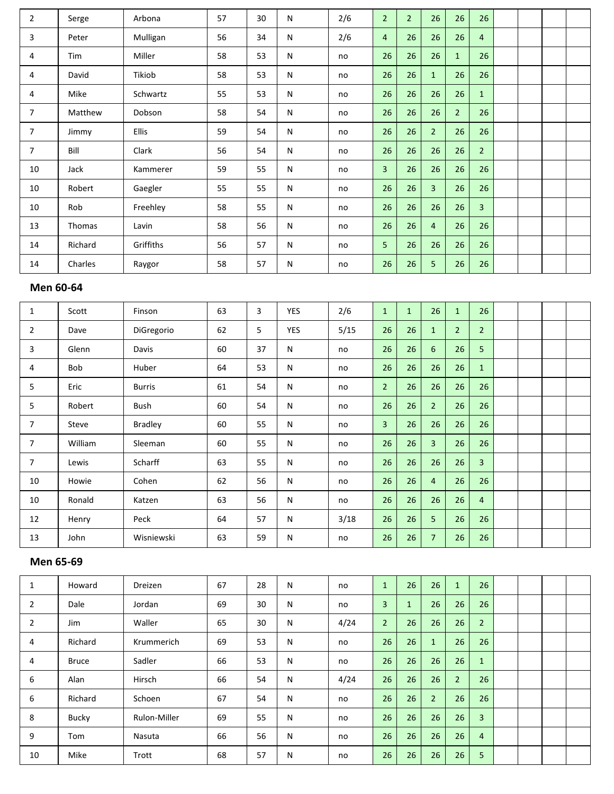| $\overline{2}$ | Serge   | Arbona       | 57 | 30 | N         | 2/6 | $\overline{2}$ | $\overline{2}$ | 26             | 26             | 26             |  |  |
|----------------|---------|--------------|----|----|-----------|-----|----------------|----------------|----------------|----------------|----------------|--|--|
| 3              | Peter   | Mulligan     | 56 | 34 | N         | 2/6 | $\overline{4}$ | 26             | 26             | 26             | $\overline{4}$ |  |  |
| 4              | Tim     | Miller       | 58 | 53 | N         | no  | 26             | 26             | 26             | $\mathbf{1}$   | 26             |  |  |
| 4              | David   | Tikiob       | 58 | 53 | N         | no  | 26             | 26             | $\mathbf{1}$   | 26             | 26             |  |  |
| 4              | Mike    | Schwartz     | 55 | 53 | N         | no  | 26             | 26             | 26             | 26             | $\mathbf{1}$   |  |  |
| $\overline{7}$ | Matthew | Dobson       | 58 | 54 | N         | no  | 26             | 26             | 26             | $\overline{2}$ | 26             |  |  |
| $\overline{7}$ | Jimmy   | <b>Ellis</b> | 59 | 54 | N         | no  | 26             | 26             | $\overline{2}$ | 26             | 26             |  |  |
| 7              | Bill    | Clark        | 56 | 54 | N         | no  | 26             | 26             | 26             | 26             | $\overline{2}$ |  |  |
| 10             | Jack    | Kammerer     | 59 | 55 | ${\sf N}$ | no  | $\overline{3}$ | 26             | 26             | 26             | 26             |  |  |
| 10             | Robert  | Gaegler      | 55 | 55 | ${\sf N}$ | no  | 26             | 26             | $\overline{3}$ | 26             | 26             |  |  |
| 10             | Rob     | Freehley     | 58 | 55 | N         | no  | 26             | 26             | 26             | 26             | $\overline{3}$ |  |  |
| 13             | Thomas  | Lavin        | 58 | 56 | ${\sf N}$ | no  | 26             | 26             | $\overline{4}$ | 26             | 26             |  |  |
| 14             | Richard | Griffiths    | 56 | 57 | N         | no  | 5 <sup>5</sup> | 26             | 26             | 26             | 26             |  |  |
| 14             | Charles | Raygor       | 58 | 57 | N         | no  | 26             | 26             | 5              | 26             | 26             |  |  |

# **Men 60-64**

| $\mathbf{1}$   | Scott   | Finson         | 63 | 3  | <b>YES</b> | 2/6  | $\mathbf{1}$   | $\mathbf{1}$ | 26             | $\mathbf{1}$   | 26             |  |  |
|----------------|---------|----------------|----|----|------------|------|----------------|--------------|----------------|----------------|----------------|--|--|
| $\overline{2}$ | Dave    | DiGregorio     | 62 | 5  | <b>YES</b> | 5/15 | 26             | 26           | $\mathbf{1}$   | $\overline{2}$ | $\overline{2}$ |  |  |
| 3              | Glenn   | Davis          | 60 | 37 | ${\sf N}$  | no   | 26             | 26           | 6              | 26             | 5              |  |  |
| 4              | Bob     | Huber          | 64 | 53 | ${\sf N}$  | no   | 26             | 26           | 26             | 26             | $\mathbf{1}$   |  |  |
| 5              | Eric    | <b>Burris</b>  | 61 | 54 | ${\sf N}$  | no   | $\overline{2}$ | 26           | 26             | 26             | 26             |  |  |
| 5              | Robert  | Bush           | 60 | 54 | N          | no   | 26             | 26           | 2 <sup>1</sup> | 26             | 26             |  |  |
| $\overline{7}$ | Steve   | <b>Bradley</b> | 60 | 55 | ${\sf N}$  | no   | 3              | 26           | 26             | 26             | 26             |  |  |
| $\overline{7}$ | William | Sleeman        | 60 | 55 | ${\sf N}$  | no   | 26             | 26           | $\overline{3}$ | 26             | 26             |  |  |
| $\overline{7}$ | Lewis   | Scharff        | 63 | 55 | N          | no   | 26             | 26           | 26             | 26             | 3              |  |  |
| 10             | Howie   | Cohen          | 62 | 56 | N          | no   | 26             | 26           | $\overline{4}$ | 26             | 26             |  |  |
| 10             | Ronald  | Katzen         | 63 | 56 | ${\sf N}$  | no   | 26             | 26           | 26             | 26             | $\overline{4}$ |  |  |
| 12             | Henry   | Peck           | 64 | 57 | ${\sf N}$  | 3/18 | 26             | 26           | 5              | 26             | 26             |  |  |
| 13             | John    | Wisniewski     | 63 | 59 | ${\sf N}$  | no   | 26             | 26           | $\overline{7}$ | 26             | 26             |  |  |

# **Men 65-69**

| 1              | Howard       | <b>Dreizen</b>      | 67 | 28 | N | no   | $\mathbf{1}$   | 26           | 26             | $\mathbf{1}$   | 26             |  |  |
|----------------|--------------|---------------------|----|----|---|------|----------------|--------------|----------------|----------------|----------------|--|--|
| 2              | Dale         | Jordan              | 69 | 30 | N | no   | $\overline{3}$ | $\mathbf{1}$ | 26             | 26             | 26             |  |  |
| $\overline{2}$ | <b>Jim</b>   | Waller              | 65 | 30 | N | 4/24 | $\overline{2}$ | 26           | 26             | 26             | $\overline{2}$ |  |  |
| 4              | Richard      | Krummerich          | 69 | 53 | N | no   | 26             | 26           | $\mathbf{1}$   | 26             | 26             |  |  |
| 4              | <b>Bruce</b> | Sadler              | 66 | 53 | N | no   | 26             | 26           | 26             | 26             | $\mathbf{1}$   |  |  |
| 6              | Alan         | Hirsch              | 66 | 54 | N | 4/24 | 26             | 26           | 26             | $\overline{2}$ | 26             |  |  |
| 6              | Richard      | Schoen              | 67 | 54 | N | no   | 26             | 26           | $\overline{2}$ | 26             | 26             |  |  |
| 8              | <b>Bucky</b> | <b>Rulon-Miller</b> | 69 | 55 | N | no   | 26             | 26           | 26             | 26             | $\overline{3}$ |  |  |
| 9              | Tom          | Nasuta              | 66 | 56 | N | no   | 26             | 26           | 26             | 26             | 4              |  |  |
| 10             | Mike         | Trott               | 68 | 57 | N | no   | 26             | 26           | 26             | 26             | 5              |  |  |